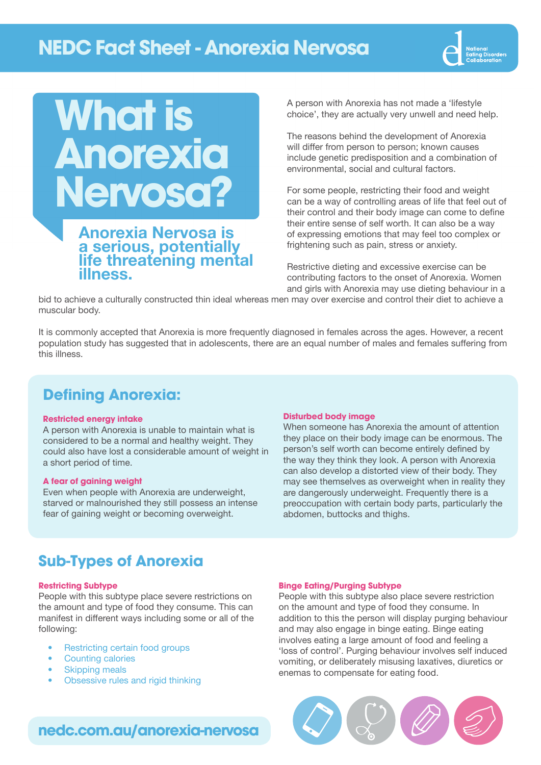## **NEDC Fact Sheet - Anorexia Nervosa**



# **What is Anorexia Nervosa?**

## Anorexia Nervosa is a serious, potentially life threatening mental illness.

A person with Anorexia has not made a 'lifestyle choice', they are actually very unwell and need help.

The reasons behind the development of Anorexia will differ from person to person; known causes include genetic predisposition and a combination of environmental, social and cultural factors.

For some people, restricting their food and weight can be a way of controlling areas of life that feel out of their control and their body image can come to define their entire sense of self worth. It can also be a way of expressing emotions that may feel too complex or frightening such as pain, stress or anxiety.

Restrictive dieting and excessive exercise can be contributing factors to the onset of Anorexia. Women and girls with Anorexia may use dieting behaviour in a

bid to achieve a culturally constructed thin ideal whereas men may over exercise and control their diet to achieve a muscular body.

It is commonly accepted that Anorexia is more frequently diagnosed in females across the ages. However, a recent population study has suggested that in adolescents, there are an equal number of males and females suffering from this illness.

## **Defining Anorexia:**

#### **Restricted energy intake**

A person with Anorexia is unable to maintain what is considered to be a normal and healthy weight. They could also have lost a considerable amount of weight in a short period of time.

#### **A fear of gaining weight**

Even when people with Anorexia are underweight, starved or malnourished they still possess an intense fear of gaining weight or becoming overweight.

#### **Disturbed body image**

When someone has Anorexia the amount of attention they place on their body image can be enormous. The person's self worth can become entirely defined by the way they think they look. A person with Anorexia can also develop a distorted view of their body. They may see themselves as overweight when in reality they are dangerously underweight. Frequently there is a preoccupation with certain body parts, particularly the abdomen, buttocks and thighs.

## **Sub-Types of Anorexia**

#### **Restricting Subtype**

People with this subtype place severe restrictions on the amount and type of food they consume. This can manifest in different ways including some or all of the following:

- Restricting certain food groups
- Counting calories
- **Skipping meals**
- Obsessive rules and rigid thinking

#### **Binge Eating/Purging Subtype**

People with this subtype also place severe restriction on the amount and type of food they consume. In addition to this the person will display purging behaviour and may also engage in binge eating. Binge eating involves eating a large amount of food and feeling a 'loss of control'. Purging behaviour involves self induced vomiting, or deliberately misusing laxatives, diuretics or enemas to compensate for eating food.



## **nedc.com.au/anorexia-nervosa**